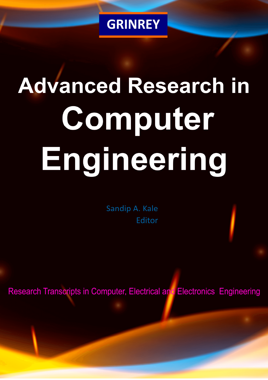

# **Advanced Research in** Computer Engineering

Sandip A. Kale Editor

**Research Transcripts in Computer, Electrical and Electronics Engineering**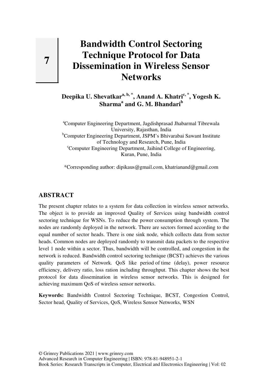# **Bandwidth Control Sectoring Technique Protocol for Data Dissemination in Wireless Sensor Networks**

**Deepika U. Shevatkara, b, \*, Anand A. Khatric, \*, Yogesh K. Sharma<sup>a</sup> and G. M. Bhandari<sup>b</sup>**

<sup>a</sup>Computer Engineering Department, Jagdishprasad Jhabarmal Tibrewala University, Rajasthan, India <sup>b</sup>Computer Engineering Department, JSPM's Bhivarabai Sawant Institute of Technology and Research, Pune, India <sup>c</sup>Computer Engineering Department, Jaihind College of Engineering, Kuran, Pune, India

\*Corresponding author: dipikaus@gmail.com, khatrianand@gmail.com

#### **ABSTRACT**

The present chapter relates to a system for data collection in wireless sensor networks. The object is to provide an improved Quality of Services using bandwidth control sectoring technique for WSNs. To reduce the power consumption through system. The nodes are randomly deployed in the network. There are sectors formed according to the equal number of sector heads. There is one sink node, which collects data from sector heads. Common nodes are deployed randomly to transmit data packets to the respective level 1 node within a sector. Thus, bandwidth will be controlled, and congestion in the network is reduced. Bandwidth control sectoring technique (BCST) achieves the various quality parameters of Network. QoS like period of time (delay), power resource efficiency, delivery ratio, loss ration including throughput. This chapter shows the best protocol for data dissemination in wireless sensor networks. This is designed for achieving maximum QoS of wireless sensor networks.

**Keywords:** Bandwidth Control Sectoring Technique, BCST, Congestion Control, Sector head, Quality of Services, QoS, Wireless Sensor Networks, WSN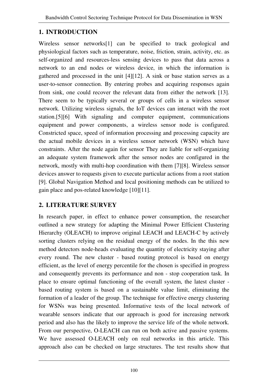## **1. INTRODUCTION**

Wireless sensor networks[1] can be specified to track geological and physiological factors such as temperature, noise, friction, strain, activity, etc. as self-organized and resources-less sensing devices to pass that data across a network to an end nodes or wireless device, in which the information is gathered and processed in the unit [4][12]. A sink or base station serves as a user-to-sensor connection. By entering probes and acquiring responses again from sink, one could recover the relevant data from either the network [13]. There seem to be typically several or groups of cells in a wireless sensor network. Utilizing wireless signals, the IoT devices can interact with the root station.[5][6] With signaling and computer equipment, communications equipment and power components, a wireless sensor node is configured. Constricted space, speed of information processing and processing capacity are the actual mobile devices in a wireless sensor network (WSN) which have constraints. After the node again for sensor They are liable for self-organizing an adequate system framework after the sensor nodes are configured in the network, mostly with multi-hop coordination with them [7][8]. Wireless sensor devices answer to requests given to execute particular actions from a root station [9]. Global Navigation Method and local positioning methods can be utilized to gain place and pos-related knowledge [10][11].

# **2. LITERATURE SURVEY**

In research paper, in effect to enhance power consumption, the researcher outlined a new strategy for adapting the Minimal Power Efficient Clustering Hierarchy (OLEACH) to improve original LEACH and LEACH-C by actively sorting clusters relying on the residual energy of the nodes. In the this new method detectors node-heads evaluating the quantity of electricity staying after every round. The new cluster - based routing protocol is based on energy efficient, as the level of energy percentile for the chosen is specified in progress and consequently prevents its performance and non - stop cooperation task. In place to ensure optimal functioning of the overall system, the latest cluster based routing system is based on a sustainable value limit, eliminating the formation of a leader of the group. The technique for effective energy clustering for WSNs was being presented. Informative tests of the local network of wearable sensors indicate that our approach is good for increasing network period and also has the likely to improve the service life of the whole network. From our perspective, O-LEACH can run on both active and passive systems. We have assessed O-LEACH only on real networks in this article. This approach also can be checked on large structures. The test results show that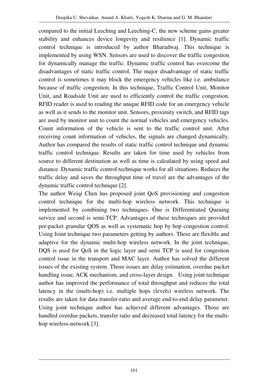compared to the initial Leeching and Leeching-C, the new scheme gains greater stability and enhances device longevity and resilience [1]. Dynamic traffic control technique is introduced by author Bharadwaj. This technique is implemented by using WSN. Sensors are used to discover the traffic congestion for dynamically manage the traffic. Dynamic traffic control has overcome the disadvantages of static traffic control. The major disadvantage of static traffic control is sometimes it may block the emergency vehicles like i.e. ambulance because of traffic congestion. In this technique, Traffic Control Unit, Monitor Unit, and Roadside Unit are used to efficiently control the traffic congestion. RFID reader is used to reading the unique RFID code for an emergency vehicle as well as it sends to the monitor unit. Sensors, proximity switch, and RFID tags are used by monitor unit to count the normal vehicles and emergency vehicles. Count information of the vehicle is sent to the traffic control unit. After receiving count information of vehicles, the signals are changed dynamically. Author has compared the results of static traffic control technique and dynamic traffic control technique. Results are taken for time used by vehicles from source to different destination as well as time is calculated by using speed and distance. Dynamic traffic control technique works for all situations. Reduces the traffic delay and saves the throughput time of travel are the advantages of the dynamic traffic control technique [2].

The author Weiqi Chen has proposed joint QoS provisioning and congestion control technique for the multi-hop wireless network. This technique is implemented by combining two techniques. One is Differentiated Queuing service and second is semi-TCP. Advantages of these techniques are provided per-packet granular QOS as well as systematic hop by hop congestion control. Using Joint technique two parameters getting by authors. These are flexible and adaptive for the dynamic multi-hop wireless network. In the joint technique, DQS is used for QoS in the logic layer and semi TCP is used for congestion control issue in the transport and MAC layer. Author has solved the different issues of the existing system. Those issues are delay estimation, overdue packet handling issue, ACK mechanism, and cross-layer design. Using joint technique author has improved the performance of total throughput and reduces the total latency in the (multi-hop) i.e. multiple hops (levels) wireless network. The results are taken for data transfer-ratio and average end-to-end delay parameter. Using joint technique author has achieved different advantages. Those are handled overdue packets, transfer ratio and decreased total-latency for the multihop wireless-network [3].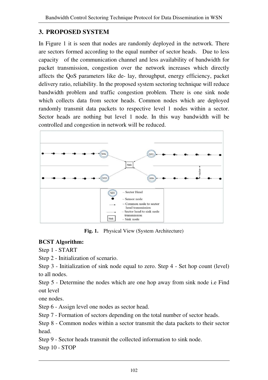## **3. PROPOSED SYSTEM**

In Figure 1 it is seen that nodes are randomly deployed in the network. There are sectors formed according to the equal number of sector heads. Due to less capacity of the communication channel and less availability of bandwidth for packet transmission, congestion over the network increases which directly affects the QoS parameters like de- lay, throughput, energy efficiency, packet delivery ratio, reliability. In the proposed system sectoring technique will reduce bandwidth problem and traffic congestion problem. There is one sink node which collects data from sector heads. Common nodes which are deployed randomly transmit data packets to respective level 1 nodes within a sector. Sector heads are nothing but level 1 node. In this way bandwidth will be controlled and congestion in network will be reduced.



**Fig. 1.** Physical View (System Architecture)

#### **BCST Algorithm:**

Step 1 - START

Step 2 - Initialization of scenario.

Step 3 - Initialization of sink node equal to zero. Step 4 - Set hop count (level) to all nodes.

Step 5 - Determine the nodes which are one hop away from sink node i.e Find out level

one nodes.

Step 6 - Assign level one nodes as sector head.

Step 7 - Formation of sectors depending on the total number of sector heads.

Step 8 - Common nodes within a sector transmit the data packets to their sector head.

Step 9 - Sector heads transmit the collected information to sink node. Step 10 - STOP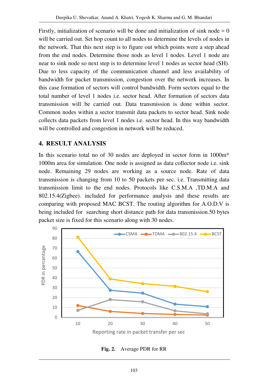Firstly, initialization of scenario will be done and initialization of sink node  $= 0$ will be carried out. Set hop count to all nodes to determine the levels of nodes in the network. That this next step is to figure out which points were a step ahead from the end nodes. Determine those nods as level 1 nodes. Level 1 node are near to sink node so next step is to determine level 1 nodes as sector head (SH). Due to less capacity of the communication channel and less availability of bandwidth for packet transmission, congestion over the network increases. In this case formation of sectors will control bandwidth. Form sectors equal to the total number of level 1 nodes i.e. sector head. After formation of sectors data transmission will be carried out. Data transmission is done within sector. Common nodes within a sector transmit data packets to sector head. Sink node collects data packets from level 1 nodes i.e. sector head. In this way bandwidth will be controlled and congestion in network will be reduced.

#### **4. RESULT ANALYSIS**

In this scenario total no of 30 nodes are deployed in sector form in 1000m\* 1000m area for simulation. One node is assigned as data collector node i.e. sink node. Remaining 29 nodes are working as a source node. Rate of data transmission is changing from 10 to 50 packets per sec. i.e. Transmitting data transmission limit to the end nodes. Protocols like C.S.M.A ,TD.M.A and 802.15.4(Zigbee). included for performance analysis and these results are comparing with proposed MAC BCST. The routing algorithm for A.O.D.V is being included for searching short distance path for data transmission.50 bytes packet size is fixed for this scenario along with 30 nodes.



**Fig. 2.** Average PDR for RR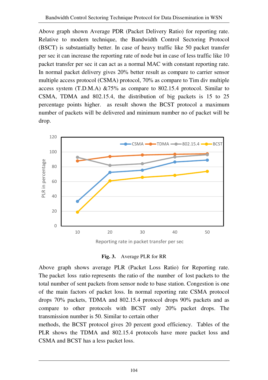Above graph shown Average PDR (Packet Delivery Ratio) for reporting rate. Relative to modern technique, the Bandwidth Control Sectoring Protocol (BSCT) is substantially better. In case of heavy traffic like 50 packet transfer per sec it can increase the reporting rate of node but in case of less traffic like 10 packet transfer per sec it can act as a normal MAC with constant reporting rate. In normal packet delivery gives 20% better result as compare to carrier sensor multiple access protocol (CSMA) protocol, 70% as compare to Tim div multiple access system (T.D.M.A) &75% as compare to 802.15.4 protocol. Similar to CSMA, TDMA and 802.15.4, the distribution of big packets is 15 to 25 percentage points higher. as result shown the BCST protocol a maximum number of packets will be delivered and minimum number no of packet will be drop.



Reporting rate in packet transfer per sec



Above graph shows average PLR (Packet Loss Ratio) for Reporting rate. The packet loss ratio represents the ratio of the number of lost packets to the total number of sent packets from sensor node to base station. Congestion is one of the main factors of packet loss. In normal reporting rate CSMA protocol drops 70% packets, TDMA and 802.15.4 protocol drops 90% packets and as compare to other protocols with BCST only 20% packet drops. The transmission number is 50. Similar to certain other

methods, the BCST protocol gives 20 percent good efficiency. Tables of the PLR shows the TDMA and 802.15.4 protocols have more packet loss and CSMA and BCST has a less packet loss.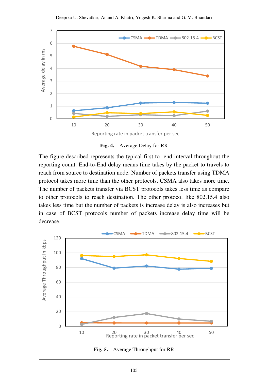

**Fig. 4.** Average Delay for RR

The figure described represents the typical first-to- end interval throughout the reporting count. End-to-End delay means time takes by the packet to travels to reach from source to destination node. Number of packets transfer using TDMA protocol takes more time than the other protocols. CSMA also takes more time. The number of packets transfer via BCST protocols takes less time as compare to other protocols to reach destination. The other protocol like 802.15.4 also takes less time but the number of packets is increase delay is also increases but in case of BCST protocols number of packets increase delay time will be decrease.



**Fig. 5.** Average Throughput for RR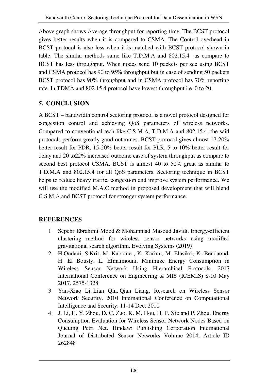Above graph shows Average throughput for reporting time. The BCST protocol gives better results when it is compared to CSMA. The Control overhead in BCST protocol is also less when it is matched with BCST protocol shown in table. The similar methods same like T.D.M.A and 802.15.4 as compare to BCST has less throughput. When nodes send 10 packets per sec using BCST and CSMA protocol has 90 to 95% throughput but in case of sending 50 packets BCST protocol has 90% throughput and in CSMA protocol has 70% reporting rate. In TDMA and 802.15.4 protocol have lowest throughput i.e. 0 to 20.

# **5. CONCLUSION**

A BCST – bandwidth control sectoring protocol is a novel protocol designed for congestion control and achieving QoS parameters of wireless networks. Compared to conventional tech like C.S.M.A, T.D.M.A and 802.15.4, the said protocols perform greatly good outcomes. BCST protocol gives almost 17-20% better result for PDR, 15-20% better result for PLR, 5 to 10% better result for delay and 20 to22% increased outcome case of system throughput as compare to second best protocol CSMA. BCST is almost 40 to 50% great as similar to T.D.M.A and 802.15.4 for all QoS parameters. Sectoring technique in BCST helps to reduce heavy traffic, congestion and improve system performance. We will use the modified M.A.C method in proposed development that will blend C.S.M.A and BCST protocol for stronger system performance.

# **REFERENCES**

- 1. Sepehr Ebrahimi Mood & Mohammad Masoud Javidi. Energy-efficient clustering method for wireless sensor networks using modified gravitational search algorithm. Evolving Systems (2019)
- 2. H.Oudani, S.Krit, M. Kabrane , K. Karimi, M. Elasikri, K. Bendaoud, H. El Bousty, L. Elmaimouni. Minimize Energy Consumption in Wireless Sensor Network Using Hierarchical Protocols. 2017 International Conference on Engineering & MIS (ICEMIS) 8-10 May 2017. 2575-1328
- 3. Yan-Xiao Li, Lian Qin, Qian Liang. Research on Wireless Sensor Network Security. 2010 International Conference on Computational Intelligence and Security. 11-14 Dec. 2010
- 4. J. Li, H. Y. Zhou, D. C. Zuo, K. M. Hou, H. P. Xie and P. Zhou. Energy Consumption Evaluation for Wireless Sensor Network Nodes Based on Queuing Petri Net. Hindawi Publishing Corporation International Journal of Distributed Sensor Networks Volume 2014, Article ID 262848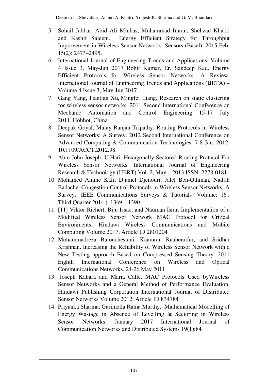- 5. Sohail Jabbar, Abid Ali Minhas, Muhammad Imran, Shehzad Khalid and Kashif Saleem. Energy Efficient Strategy for Throughput Improvement in Wireless Sensor Networks. Sensors (Basel). 2015 Feb; 15(2): 2473–2495.
- 6. International Journal of Engineering Trends and Applications, Volume 4 Issue 3, May-Jun 2017 Rohit Kumar, Er. Sandeep Kad. Energy Efficient Protocols for Wireless Sensor Networks -A Review. International Journal of Engineering Trends and Applications (IJETA) – Volume 4 Issue 3, May-Jun 2017
- 7. Gang Yang, Tiantian Xu, Mingfei Liang. Research on static clustering for wireless sensor networks. 2011 Second International Conference on Mechanic Automation and Control Engineering 15-17 July 2011. Hohhot, China
- 8. Deepak Goyal, Malay Ranjan Tripathy. Routing Protocols in Wireless Sensor Networks: A Survey. 2012 Second International Conference on Advanced Computing & Communication Technologies 7-8 Jan. 2012. 10.1109/ACCT.2012.98
- 9. Abin John Joseph, U.Hari. Hexagonally Sectored Routing Protocol For Wireless Sensor Networks. International Journal of Engineering Research & Technology (IJERT) Vol. 2, May – 2013 ISSN: 2278-0181
- 10. Mohamed Amine Kafi, Djamel Djenouri, Jalel Ben-Othman, Nadjib Badache. Congestion Control Protocols in Wireless Sensor Networks: A Survey. IEEE Communications Surveys & Tutorials ( Volume: 16 , Third Quarter 2014 ). 1369 – 1390
- 11. [11] Viktor Richert, Biju Issac, and Nauman Israr. Implementation of a Modified Wireless Sensor Network MAC Protocol for Critical Environments. Hindawi Wireless Communications and Mobile Computing Volume 2017, Article ID 2801204
- 12. Mohammadreza Balouchestani, Kaamran Raahemifar, and Sridhar Krishnan. Increasing the Reliability of Wireless Sensor Network with a New Testing approach Based on Compressed Sensing Theory. 2011 Eighth International Conference on Wireless and Optical Communications Networks. 24-26 May 2011
- 13. Joseph Kabara and Maria Calle. MAC Protocols Used byWireless Sensor Networks and a General Method of Performance Evaluation. Hindawi Publishing Corporation International Journal of Distributed Sensor Networks Volume 2012, Article ID 834784
- 14. Priyanka Sharma, Garimella Rama Murthy. Mathematical Modelling of Energy Wastage in Absence of Levelling & Sectoring in Wireless Sensor Networks. January 2017 International Journal of Communication Networks and Distributed Systems 19(1):84